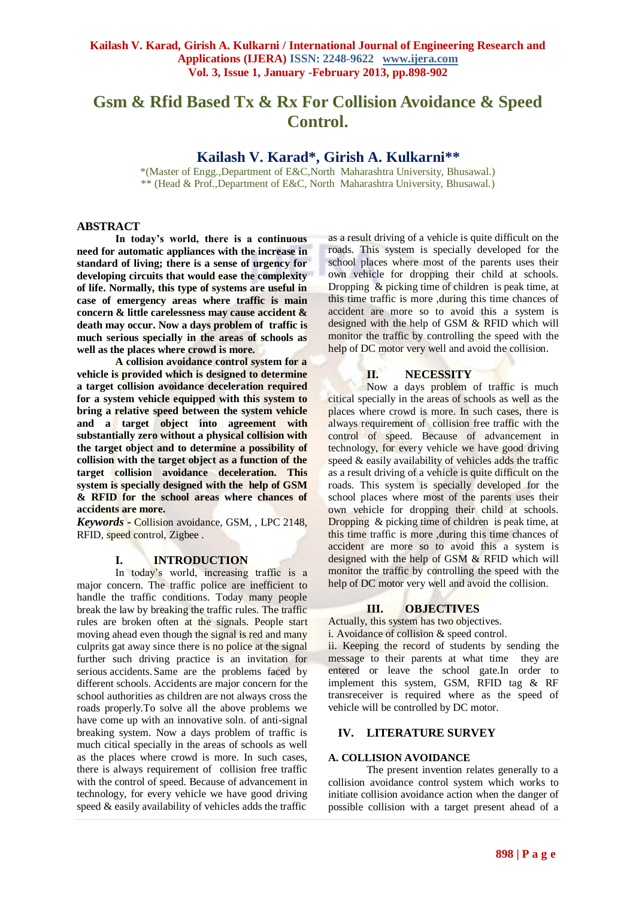# **Gsm & Rfid Based Tx & Rx For Collision Avoidance & Speed Control.**

# **Kailash V. Karad\*, Girish A. Kulkarni\*\***

\*(Master of Engg.,Department of E&C,North Maharashtra University, Bhusawal.) \*\* (Head & Prof.,Department of E&C, North Maharashtra University, Bhusawal.)

## **ABSTRACT**

**In today's world, there is a continuous need for automatic appliances with the increase in standard of living; there is a sense of urgency for developing circuits that would ease the complexity of life. Normally, this type of systems are useful in case of emergency areas where traffic is main concern & little carelessness may cause accident & death may occur. Now a days problem of traffic is much serious specially in the areas of schools as well as the places where crowd is more.**

**A collision avoidance control system for a vehicle is provided which is designed to determine a target collision avoidance deceleration required for a system vehicle equipped with this system to bring a relative speed between the system vehicle and a target object into agreement with substantially zero without a physical collision with the target object and to determine a possibility of collision with the target object as a function of the target collision avoidance deceleration. This system is specially designed with the help of GSM & RFID for the school areas where chances of accidents are more.** 

*Keywords* **-** Collision avoidance, GSM, , LPC 2148, RFID, speed control, Zigbee .

## **I. INTRODUCTION**

In today's world, increasing traffic is a major concern. The traffic police are inefficient to handle the traffic conditions. Today many people break the law by breaking the traffic rules. The traffic rules are broken often at the signals. People start moving ahead even though the signal is red and many culprits gat away since there is no police at the signal further such driving practice is an invitation for serious accidents.Same are the problems faced by different schools. Accidents are major concern for the school authorities as children are not always cross the roads properly.To solve all the above problems we have come up with an innovative soln. of anti-signal breaking system. Now a days problem of traffic is much citical specially in the areas of schools as well as the places where crowd is more. In such cases, there is always requirement of collision free traffic with the control of speed. Because of advancement in technology, for every vehicle we have good driving speed & easily availability of vehicles adds the traffic

as a result driving of a vehicle is quite difficult on the roads. This system is specially developed for the school places where most of the parents uses their own vehicle for dropping their child at schools. Dropping & picking time of children is peak time, at this time traffic is more ,during this time chances of accident are more so to avoid this a system is designed with the help of GSM & RFID which will monitor the traffic by controlling the speed with the help of DC motor very well and avoid the collision.

## **II. NECESSITY**

Now a days problem of traffic is much citical specially in the areas of schools as well as the places where crowd is more. In such cases, there is always requirement of collision free traffic with the control of speed. Because of advancement in technology, for every vehicle we have good driving speed & easily availability of vehicles adds the traffic as a result driving of a vehicle is quite difficult on the roads. This system is specially developed for the school places where most of the parents uses their own vehicle for dropping their child at schools. Dropping & picking time of children is peak time, at this time traffic is more ,during this time chances of accident are more so to avoid this a system is designed with the help of GSM & RFID which will monitor the traffic by controlling the speed with the help of DC motor very well and avoid the collision.

## **III. OBJECTIVES**

Actually, this system has two objectives.

i. Avoidance of collision & speed control.

ii. Keeping the record of students by sending the message to their parents at what time they are entered or leave the school gate.In order to implement this system, GSM, RFID tag & RF transreceiver is required where as the speed of vehicle will be controlled by DC motor.

## **IV. LITERATURE SURVEY**

## **A. COLLISION AVOIDANCE**

The present invention relates generally to a collision avoidance control system which works to initiate collision avoidance action when the danger of possible collision with a target present ahead of a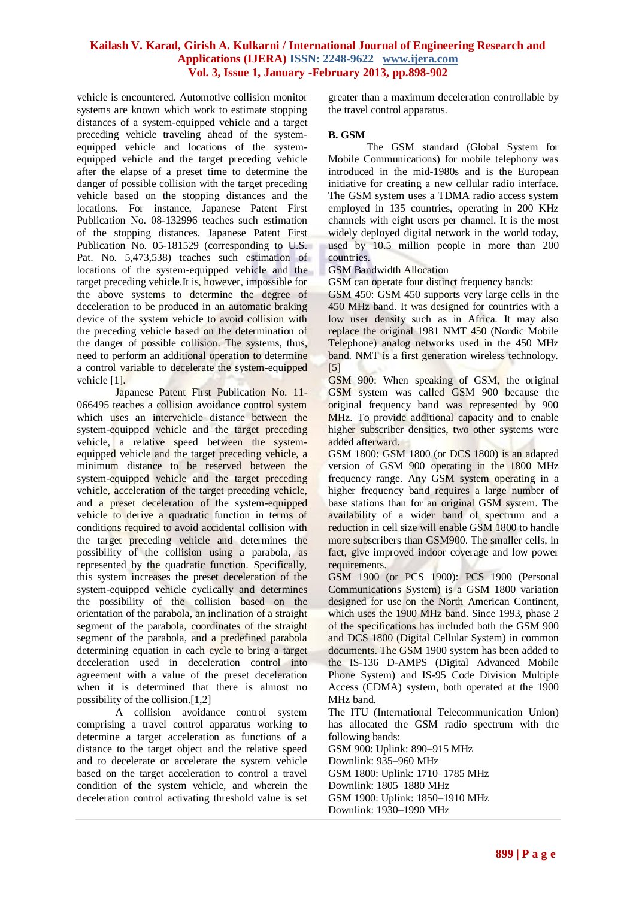vehicle is encountered. Automotive collision monitor systems are known which work to estimate stopping distances of a system-equipped vehicle and a target preceding vehicle traveling ahead of the systemequipped vehicle and locations of the systemequipped vehicle and the target preceding vehicle after the elapse of a preset time to determine the danger of possible collision with the target preceding vehicle based on the stopping distances and the locations. For instance, Japanese Patent First Publication No. 08-132996 teaches such estimation of the stopping distances. Japanese Patent First Publication No. 05-181529 (corresponding to U.S. Pat. No. 5,473,538) teaches such estimation of locations of the system-equipped vehicle and the target preceding vehicle.It is, however, impossible for the above systems to determine the degree of deceleration to be produced in an automatic braking device of the system vehicle to avoid collision with the preceding vehicle based on the determination of the danger of possible collision. The systems, thus, need to perform an additional operation to determine a control variable to decelerate the system-equipped vehicle [1].

Japanese Patent First Publication No. 11- 066495 teaches a collision avoidance control system which uses an intervehicle distance between the system-equipped vehicle and the target preceding vehicle, a relative speed between the systemequipped vehicle and the target preceding vehicle, a minimum distance to be reserved between the system-equipped vehicle and the target preceding vehicle, acceleration of the target preceding vehicle, and a preset deceleration of the system-equipped vehicle to derive a quadratic function in terms of conditions required to avoid accidental collision with the target preceding vehicle and determines the possibility of the collision using a parabola, as represented by the quadratic function. Specifically, this system increases the preset deceleration of the system-equipped vehicle cyclically and determines the possibility of the collision based on the orientation of the parabola, an inclination of a straight segment of the parabola, coordinates of the straight segment of the parabola, and a predefined parabola determining equation in each cycle to bring a target deceleration used in deceleration control into agreement with a value of the preset deceleration when it is determined that there is almost no possibility of the collision.[1,2]

A collision avoidance control system comprising a travel control apparatus working to determine a target acceleration as functions of a distance to the target object and the relative speed and to decelerate or accelerate the system vehicle based on the target acceleration to control a travel condition of the system vehicle, and wherein the deceleration control activating threshold value is set greater than a maximum deceleration controllable by the travel control apparatus.

## **B. GSM**

The GSM standard (Global System for Mobile Communications) for mobile telephony was introduced in the mid-1980s and is the European initiative for creating a new cellular radio interface. The GSM system uses a TDMA radio access system employed in 135 countries, operating in 200 KHz channels with eight users per channel. It is the most widely deployed digital network in the world today, used by 10.5 million people in more than 200 countries.

GSM Bandwidth Allocation

GSM can operate four distinct frequency bands:

GSM 450: GSM 450 supports very large cells in the 450 MHz band. It was designed for countries with a low user density such as in Africa. It may also replace the original 1981 NMT 450 (Nordic Mobile Telephone) analog networks used in the 450 MHz band. NMT is a first generation wireless technology. [5]

GSM 900: When speaking of GSM, the original GSM system was called GSM 900 because the original frequency band was represented by 900 MHz. To provide additional capacity and to enable higher subscriber densities, two other systems were added afterward.

GSM 1800: GSM 1800 (or DCS 1800) is an adapted version of GSM 900 operating in the 1800 MHz frequency range. Any GSM system operating in a higher frequency band requires a large number of base stations than for an original GSM system. The availability of a wider band of spectrum and a reduction in cell size will enable GSM 1800 to handle more subscribers than GSM900. The smaller cells, in fact, give improved indoor coverage and low power requirements.

GSM 1900 (or PCS 1900): PCS 1900 (Personal Communications System) is a GSM 1800 variation designed for use on the North American Continent, which uses the 1900 MHz band. Since 1993, phase 2 of the specifications has included both the GSM 900 and DCS 1800 (Digital Cellular System) in common documents. The GSM 1900 system has been added to the IS-136 D-AMPS (Digital Advanced Mobile Phone System) and IS-95 Code Division Multiple Access (CDMA) system, both operated at the 1900 MHz band.

The ITU (International Telecommunication Union) has allocated the GSM radio spectrum with the following bands:

GSM 900: Uplink: 890–915 MHz Downlink: 935–960 MHz GSM 1800: Uplink: 1710–1785 MHz Downlink: 1805–1880 MHz GSM 1900: Uplink: 1850–1910 MHz Downlink: 1930–1990 MHz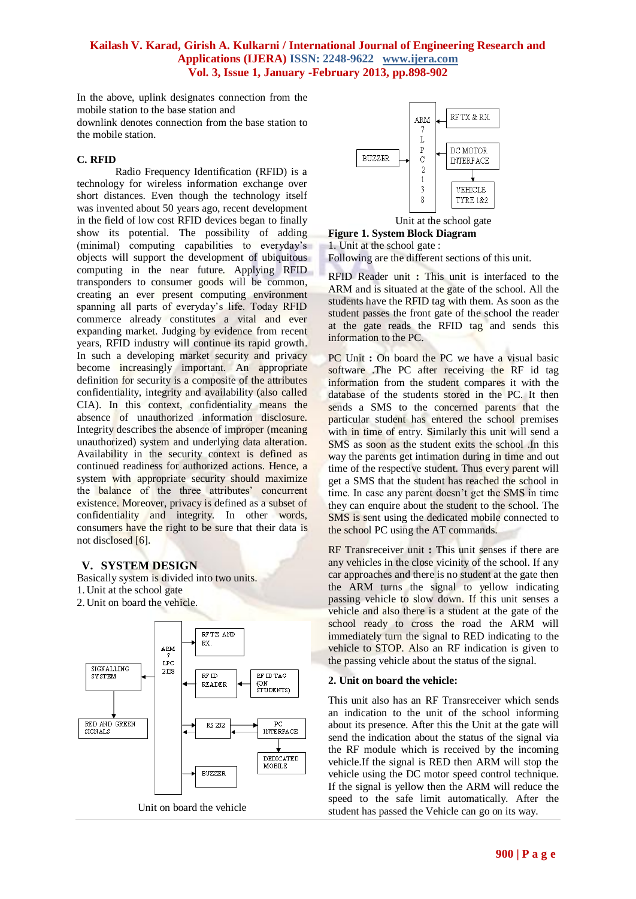In the above, uplink designates connection from the mobile station to the base station and

downlink denotes connection from the base station to the mobile station.

## **C. RFID**

Radio Frequency Identification (RFID) is a technology for wireless information exchange over short distances. Even though the technology itself was invented about 50 years ago, recent development in the field of low cost RFID devices began to finally show its potential. The possibility of adding (minimal) computing capabilities to everyday's objects will support the development of ubiquitous computing in the near future. Applying RFID transponders to consumer goods will be common, creating an ever present computing environment spanning all parts of everyday's life. Today RFID commerce already constitutes a vital and ever expanding market. Judging by evidence from recent years, RFID industry will continue its rapid growth. In such a developing market security and privacy become increasingly important. An appropriate definition for security is a composite of the attributes confidentiality, integrity and availability (also called CIA). In this context, confidentiality means the absence of unauthorized information disclosure. Integrity describes the absence of improper (meaning unauthorized) system and underlying data alteration. Availability in the security context is defined as continued readiness for authorized actions. Hence, a system with appropriate security should maximize the balance of the three attributes' concurrent existence. Moreover, privacy is defined as a subset of confidentiality and integrity. In other words, consumers have the right to be sure that their data is not disclosed [6].

## **V. SYSTEM DESIGN**

Basically system is divided into two units. 1. Unit at the school gate 2. Unit on board the vehicle.





Unit at the school gate

**Figure 1. System Block Diagram**  1. Unit at the school gate :

Following are the different sections of this unit.

RFID Reader unit **:** This unit is interfaced to the ARM and is situated at the gate of the school. All the students have the RFID tag with them. As soon as the student passes the front gate of the school the reader at the gate reads the RFID tag and sends this information to the PC.

PC Unit : On board the PC we have a visual basic software .The PC after receiving the RF id tag information from the student compares it with the database of the students stored in the PC. It then sends a SMS to the concerned parents that the particular student has entered the school premises with in time of entry. Similarly this unit will send a SMS as soon as the student exits the school .In this way the parents get intimation during in time and out time of the respective student. Thus every parent will get a SMS that the student has reached the school in time. In case any parent doesn't get the SMS in time they can enquire about the student to the school. The SMS is sent using the dedicated mobile connected to the school PC using the AT commands.

RF Transreceiver unit **:** This unit senses if there are any vehicles in the close vicinity of the school. If any car approaches and there is no student at the gate then the ARM turns the signal to yellow indicating passing vehicle to slow down. If this unit senses a vehicle and also there is a student at the gate of the school ready to cross the road the ARM will immediately turn the signal to RED indicating to the vehicle to STOP. Also an RF indication is given to the passing vehicle about the status of the signal.

## **2. Unit on board the vehicle:**

This unit also has an RF Transreceiver which sends an indication to the unit of the school informing about its presence. After this the Unit at the gate will send the indication about the status of the signal via the RF module which is received by the incoming vehicle.If the signal is RED then ARM will stop the vehicle using the DC motor speed control technique. If the signal is yellow then the ARM will reduce the speed to the safe limit automatically. After the student has passed the Vehicle can go on its way.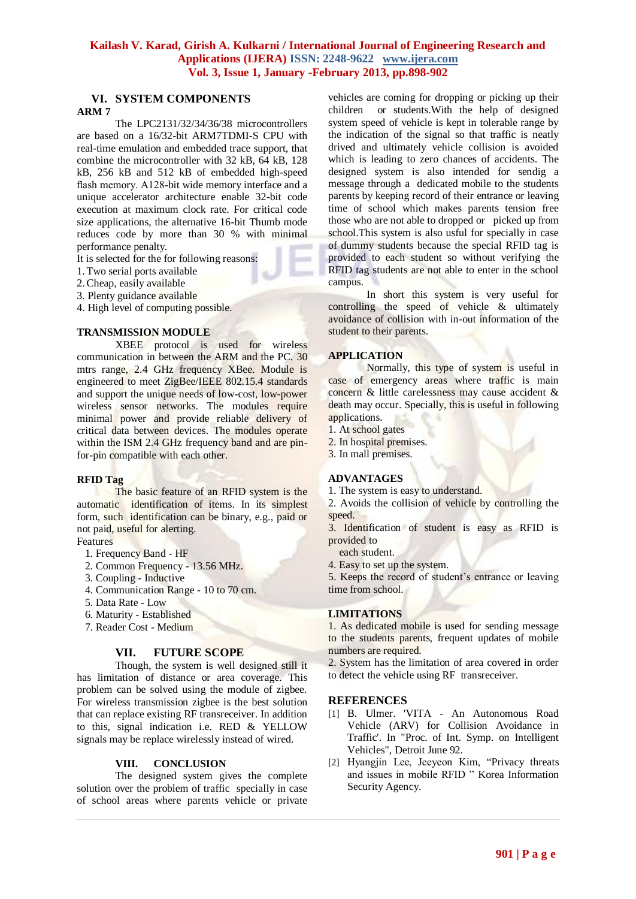# **VI. SYSTEM COMPONENTS**

#### **ARM 7**

The LPC2131/32/34/36/38 microcontrollers are based on a 16/32-bit ARM7TDMI-S CPU with real-time emulation and embedded trace support, that combine the microcontroller with 32 kB, 64 kB, 128 kB, 256 kB and 512 kB of embedded high-speed flash memory. A128-bit wide memory interface and a unique accelerator architecture enable 32-bit code execution at maximum clock rate. For critical code size applications, the alternative 16-bit Thumb mode reduces code by more than 30 % with minimal performance penalty.

It is selected for the for following reasons:

- 1. Two serial ports available
- 2.Cheap, easily available
- 3. Plenty guidance available
- 4. High level of computing possible.

## **TRANSMISSION MODULE**

XBEE protocol is used for wireless communication in between the ARM and the PC. 30 mtrs range, 2.4 GHz frequency XBee. Module is engineered to meet ZigBee/IEEE 802.15.4 standards and support the unique needs of low-cost, low-power wireless sensor networks. The modules require minimal power and provide reliable delivery of critical data between devices. The modules operate within the ISM 2.4 GHz frequency band and are pinfor-pin compatible with each other.

## **RFID Tag**

The basic feature of an RFID system is the automatic identification of items. In its simplest form, such identification can be binary, e.g., paid or not paid, useful for alerting.

## Features

- 1. Frequency Band HF
- 2. Common Frequency 13.56 MHz.
- 3. Coupling Inductive
- 4. Communication Range 10 to 70 cm.
- 5. Data Rate Low
- 6. Maturity Established
- 7. Reader Cost Medium

#### **VII. FUTURE SCOPE**

Though, the system is well designed still it has limitation of distance or area coverage. This problem can be solved using the module of zigbee. For wireless transmission zigbee is the best solution that can replace existing RF transreceiver. In addition to this, signal indication i.e. RED & YELLOW signals may be replace wirelessly instead of wired.

#### **VIII. CONCLUSION**

The designed system gives the complete solution over the problem of traffic specially in case of school areas where parents vehicle or private vehicles are coming for dropping or picking up their children or students.With the help of designed system speed of vehicle is kept in tolerable range by the indication of the signal so that traffic is neatly drived and ultimately vehicle collision is avoided which is leading to zero chances of accidents. The designed system is also intended for sendig a message through a dedicated mobile to the students parents by keeping record of their entrance or leaving time of school which makes parents tension free those who are not able to dropped or picked up from school.This system is also usful for specially in case of dummy students because the special RFID tag is provided to each student so without verifying the RFID tag students are not able to enter in the school campus.

In short this system is very useful for controlling the speed of vehicle & ultimately avoidance of collision with in-out information of the student to their parents.

#### **APPLICATION**

Normally, this type of system is useful in case of emergency areas where traffic is main concern & little carelessness may cause accident & death may occur. Specially, this is useful in following applications.

- 1. At school gates
- 2. In hospital premises.
- 3. In mall premises.

## **ADVANTAGES**

1. The system is easy to understand.

2. Avoids the collision of vehicle by controlling the speed.

3. Identification of student is easy as RFID is provided to

each student.

4. Easy to set up the system.

5. Keeps the record of student's entrance or leaving time from school.

#### **LIMITATIONS**

1. As dedicated mobile is used for sending message to the students parents, frequent updates of mobile numbers are required.

2. System has the limitation of area covered in order to detect the vehicle using RF transreceiver.

#### **REFERENCES**

- [1] B. Ulmer. 'VITA An Autonomous Road Vehicle (ARV) for Collision Avoidance in Traffic'. In "Proc. of Int. Symp. on Intelligent Vehicles", Detroit June 92.
- [2] Hyangjin Lee, Jeeyeon Kim, "Privacy threats and issues in mobile RFID " Korea Information Security Agency.